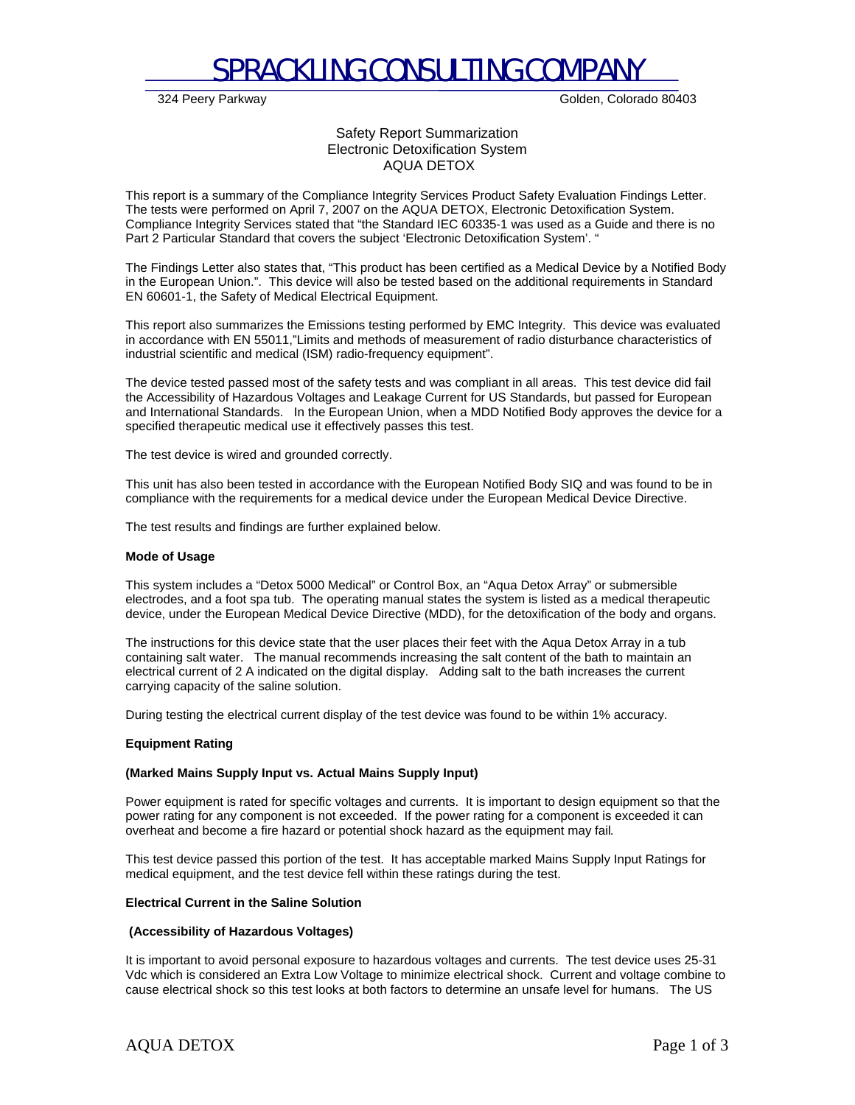

324 Peery Parkway Golden, Colorado 80403

## Safety Report Summarization Electronic Detoxification System AQUA DETOX

This report is a summary of the Compliance Integrity Services Product Safety Evaluation Findings Letter. The tests were performed on April 7, 2007 on the AQUA DETOX, Electronic Detoxification System. Compliance Integrity Services stated that "the Standard IEC 60335-1 was used as a Guide and there is no Part 2 Particular Standard that covers the subject 'Electronic Detoxification System'. "

The Findings Letter also states that, "This product has been certified as a Medical Device by a Notified Body in the European Union.". This device will also be tested based on the additional requirements in Standard EN 60601-1, the Safety of Medical Electrical Equipment.

This report also summarizes the Emissions testing performed by EMC Integrity. This device was evaluated in accordance with EN 55011,"Limits and methods of measurement of radio disturbance characteristics of industrial scientific and medical (ISM) radio-frequency equipment".

The device tested passed most of the safety tests and was compliant in all areas. This test device did fail the Accessibility of Hazardous Voltages and Leakage Current for US Standards, but passed for European and International Standards. In the European Union, when a MDD Notified Body approves the device for a specified therapeutic medical use it effectively passes this test.

The test device is wired and grounded correctly.

This unit has also been tested in accordance with the European Notified Body SIQ and was found to be in compliance with the requirements for a medical device under the European Medical Device Directive.

The test results and findings are further explained below.

#### **Mode of Usage**

This system includes a "Detox 5000 Medical" or Control Box, an "Aqua Detox Array" or submersible electrodes, and a foot spa tub. The operating manual states the system is listed as a medical therapeutic device, under the European Medical Device Directive (MDD), for the detoxification of the body and organs.

The instructions for this device state that the user places their feet with the Aqua Detox Array in a tub containing salt water. The manual recommends increasing the salt content of the bath to maintain an electrical current of 2 A indicated on the digital display. Adding salt to the bath increases the current carrying capacity of the saline solution.

During testing the electrical current display of the test device was found to be within 1% accuracy.

#### **Equipment Rating**

#### **(Marked Mains Supply Input vs. Actual Mains Supply Input)**

Power equipment is rated for specific voltages and currents. It is important to design equipment so that the power rating for any component is not exceeded. If the power rating for a component is exceeded it can overheat and become a fire hazard or potential shock hazard as the equipment may fail*.*

This test device passed this portion of the test. It has acceptable marked Mains Supply Input Ratings for medical equipment, and the test device fell within these ratings during the test.

#### **Electrical Current in the Saline Solution**

#### **(Accessibility of Hazardous Voltages)**

It is important to avoid personal exposure to hazardous voltages and currents. The test device uses 25-31 Vdc which is considered an Extra Low Voltage to minimize electrical shock. Current and voltage combine to cause electrical shock so this test looks at both factors to determine an unsafe level for humans. The US

## AQUA DETOX Page 1 of 3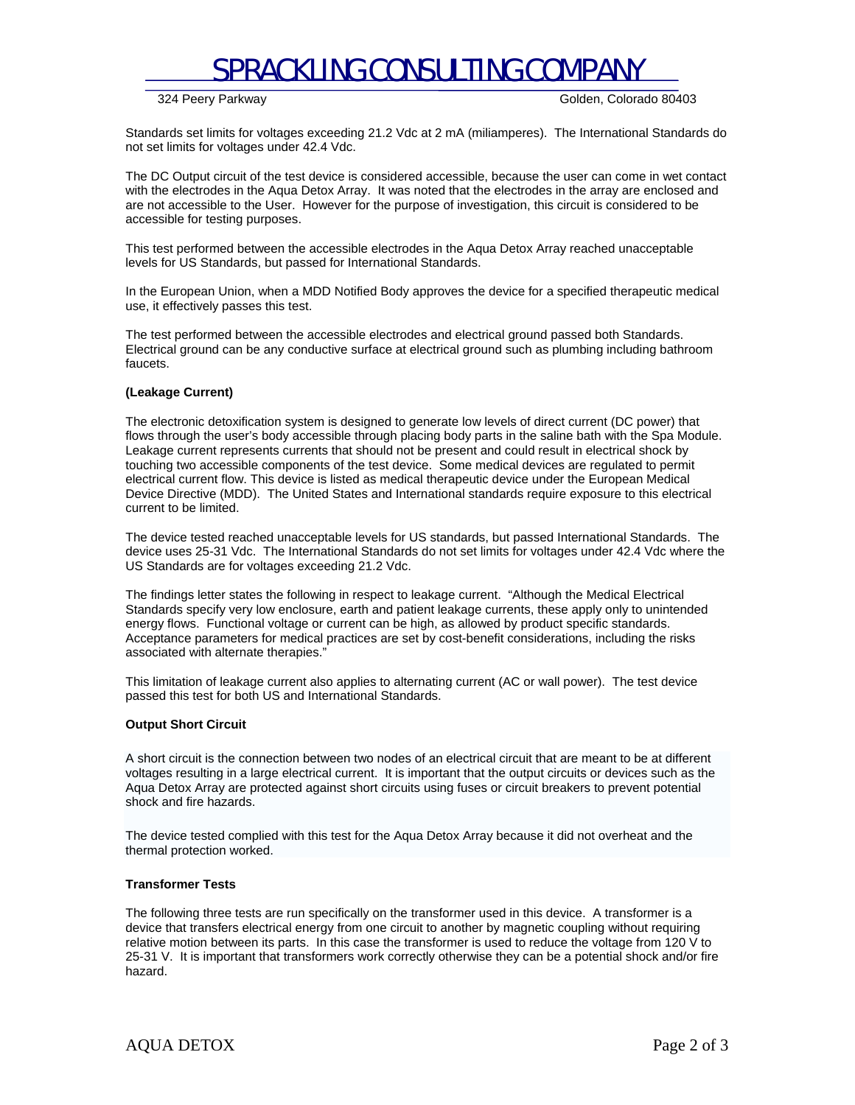# SPRACKLING CONSULTING COMPANY

324 Peery Parkway Golden, Colorado 80403

Standards set limits for voltages exceeding 21.2 Vdc at 2 mA (miliamperes). The International Standards do not set limits for voltages under 42.4 Vdc.

The DC Output circuit of the test device is considered accessible, because the user can come in wet contact with the electrodes in the Aqua Detox Array. It was noted that the electrodes in the array are enclosed and are not accessible to the User. However for the purpose of investigation, this circuit is considered to be accessible for testing purposes.

This test performed between the accessible electrodes in the Aqua Detox Array reached unacceptable levels for US Standards, but passed for International Standards.

In the European Union, when a MDD Notified Body approves the device for a specified therapeutic medical use, it effectively passes this test.

The test performed between the accessible electrodes and electrical ground passed both Standards. Electrical ground can be any conductive surface at electrical ground such as plumbing including bathroom faucets.

#### **(Leakage Current)**

The electronic detoxification system is designed to generate low levels of direct current (DC power) that flows through the user's body accessible through placing body parts in the saline bath with the Spa Module. Leakage current represents currents that should not be present and could result in electrical shock by touching two accessible components of the test device. Some medical devices are regulated to permit electrical current flow. This device is listed as medical therapeutic device under the European Medical Device Directive (MDD). The United States and International standards require exposure to this electrical current to be limited.

The device tested reached unacceptable levels for US standards, but passed International Standards. The device uses 25-31 Vdc. The International Standards do not set limits for voltages under 42.4 Vdc where the US Standards are for voltages exceeding 21.2 Vdc.

The findings letter states the following in respect to leakage current. "Although the Medical Electrical Standards specify very low enclosure, earth and patient leakage currents, these apply only to unintended energy flows. Functional voltage or current can be high, as allowed by product specific standards. Acceptance parameters for medical practices are set by cost-benefit considerations, including the risks associated with alternate therapies."

This limitation of leakage current also applies to alternating current (AC or wall power). The test device passed this test for both US and International Standards.

#### **Output Short Circuit**

A short circuit is the connection between two nodes of an electrical circuit that are meant to be at different voltages resulting in a large electrical current. It is important that the output circuits or devices such as the Aqua Detox Array are protected against short circuits using fuses or circuit breakers to prevent potential shock and fire hazards.

The device tested complied with this test for the Aqua Detox Array because it did not overheat and the thermal protection worked.

#### **Transformer Tests**

The following three tests are run specifically on the transformer used in this device. A transformer is a device that transfers electrical energy from one circuit to another by magnetic coupling without requiring relative motion between its parts. In this case the transformer is used to reduce the voltage from 120 V to 25-31 V. It is important that transformers work correctly otherwise they can be a potential shock and/or fire hazard.